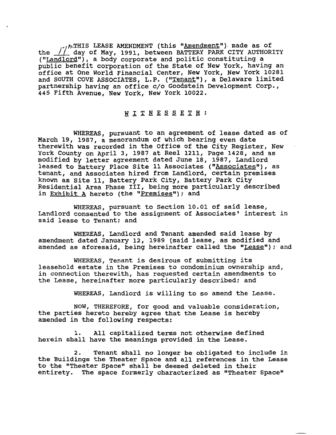ARTHIS LEASE AMENDMENT (this "Amendment") made as of the */I* day of May, 1991, between BATTERY PARK CITY AUTHORITY ("Landlord"), a body corporate and politic constituting a public benefit corporation of the State of New York, having an office at One World Financial Center, New York, New York 10281 and SOUTH COVE ASSOCIATES, L.P. ("Tenant"), a Delaware limited partnership having an office c/o Goodstein Development Corp., 445 Fifth Avenue, New York, New York 10022.

## WITNESSETH:

WHEREAS, pursuant to an agreement of lease dated as of March 19, 1987, a memorandum of which bearing even date therewith was recorded in the Office of the City Register, New York County on April 3, 1987 at Reel 1211, Page 1428, and as modified by letter agreement dated June 18, 1987, Landlord leased to Battery Place Site 11 Associates ("Associates"), as tenant, and Associates hired from Landlord, certain premises known as Site 11, Battery Park City, Battery Park City Residential Area Phase 111, being more particularly described in Exhibit A hereto (the "Premises"); and

WHEREAS, pursuant to Section 10.01 of said lease, Landlord consented to the assignment of Associates' interest in said lease to Tenant; and

WHEREAS, Landlord and Tenant amended said lease by amendment dated January 12, 1989 (said lease, as modified and amended as aforesaid, being hereinafter called the "Lease"); and

WHEREAS, Tenant is desirous of submitting its leasehold estate in the premises to condominium ownership and, in connection therewith, has requested certain amendments to the Lease, hereinafter more particularly described; and

WHEREAS, Landlord is willing to so amend the Lease.

NOW, THEREFORE, for good and valuable consideration, the parties hereto hereby agree that the Lease is hereby amended in the following respects:

1. All capitalized terms not otherwise defined herein shall have the meanings provided in the Lease.

2. Tenant shall no longer be obligated to include in the Buildings the Theater Space and all references in the Lease to the "Theater Space" shall be deemed deleted in their entirety. The space formerly characterized as "Theater Space"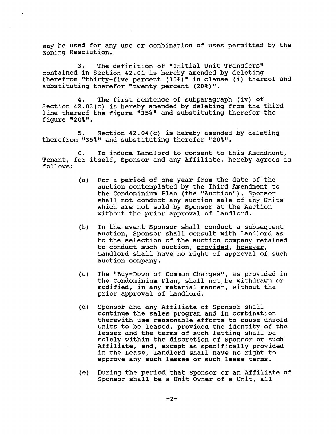may be used for any use or combination of uses permitted by the zoning Resolution.

3. The definition of "Initial Unit Transfers" contained in Section 42.01 is hereby amended by deleting therefrom "thirty-five percent (35%)" in clause (i) thereof and substituting therefor "twenty percent (20%)".

4. The first sentence of subparagraph (iv) of Section 42.03(c) is hereby amended by deleting from the third line thereof the figure "35%" and substituting therefor the figure "20%".

**5.** Section 42.04(c) is hereby amended by deleting therefrom "35%" and substituting therefor "20%".

6. To induce Landlord to consent to this Amendment, Tenant, for itself, Sponsor and any Affiliate, hereby agrees as follows:

- (a) For a period of one year from the date of the auction contemplated by the Third Amendment to the Condominium Plan (the "Auction"), Sponsor shall not conduct any auction sale of any Units which are not sold by Sponsor at the Auction without the prior approval of Landlord.
- (b) In the event Sponsor shall conduct a subsequent auction, Sponsor shall consult with Landlord as to the selection of the auction company retained to conduct such auction, provided, however, Landlord shall have no right of approval of such auction company.
- (c) The "Buy-Down of Common Charges", as provided in the Condominium Plan, shall not be withdrawn or modified, in any material manner, without the prior approval of Landlord.
- (d) Sponsor and any Affiliate of Sponsor shall continue the sales program and in combination therewith use reasonable efforts to cause unsold Units to be leased, provided the identity of the lessee and the terms of such letting shall be solely within the discretion of Sponsor or such Affiliate, and, except as specifically provided in the Lease, Landlord shall have no right to approve any such lessee or such lease terms.
- (e) During the period that Sponsor or an Affiliate of Sponsor shall be a Unit Owner of a Unit, all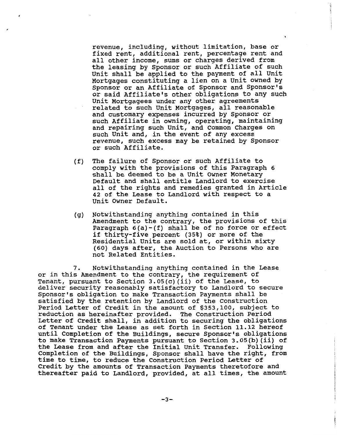revenue, including, without limitation, base or fixed rent, additional rent, percentage rent and all other income, sums or charges derived from the leasing by Sponsor or such Affiliate of such Unit shall be applied to the payment of all Unit Mortgages constituting a lien on a unit owned by Sponsor or an Affiliate of Sponsor and Sponsor's or said Affiliate's other obligations to any such Unit Mortgagees under any other agreements related to such unit Mortgages, all reasonable and customary expenses incurred by Sponsor or such Affiliate in owning, operating, maintaining and repairing such Unit, and Common Charges on such Unit and, in the event of any excess revenue, such excess may be retained by Sponsor or such Affiliate.

- (f) The failure of Sponsor or such Affiliate to comply with the provisions of this Paragraph 6 shall be deemed to be a Unit Owner Monetary Default and shall entitle Landlord to exercise all of the rights and remedies granted in Article 42 of the Lease to Landlord with respect to a Unit Owner Default.
- (g) Notwithstanding anything contained in this Amendment to the contrary, the provisions of this Paragraph  $6(a)-(f)$  shall be of no force or effect if thirty-five percent (35%) or more of the Residential Units are sold at, or within sixty (60) days after, the Auction to Persons who are not Related Entities.

**7.** Notwithstanding anything contained in the Lease or in this Amendment to the contrary, the requirement of Tenant, pursuant to Section 3.05(c)(ii) of the Lease, to deliver security reasonably satisfactory to Landlord to secure Sponsor's obligation to make Transaction Payments shall be satisfied by the retention by Landlord of the construction Period Letter of Credit in the amount of \$353,100, subject to reduction as hereinafter provided. The Construction Period Letter of Credit shall, in addition to securing the obligations of Tenant under the Lease as set forth in Section 11.12 hereof until Completion of the Buildings, secure Sponsor's obligations to make Transaction Payments pursuant to Section 3.05(b)(ii) of the Lease from and after the Initial unit Transfer. Following completion of the Buildings, Sponsor shall have the right, from time to time, to reduce the Construction Period Letter of Credit by the amounts of Transaction Payments theretofore and thereafter paid to Landlord, provided, at all times, the amount